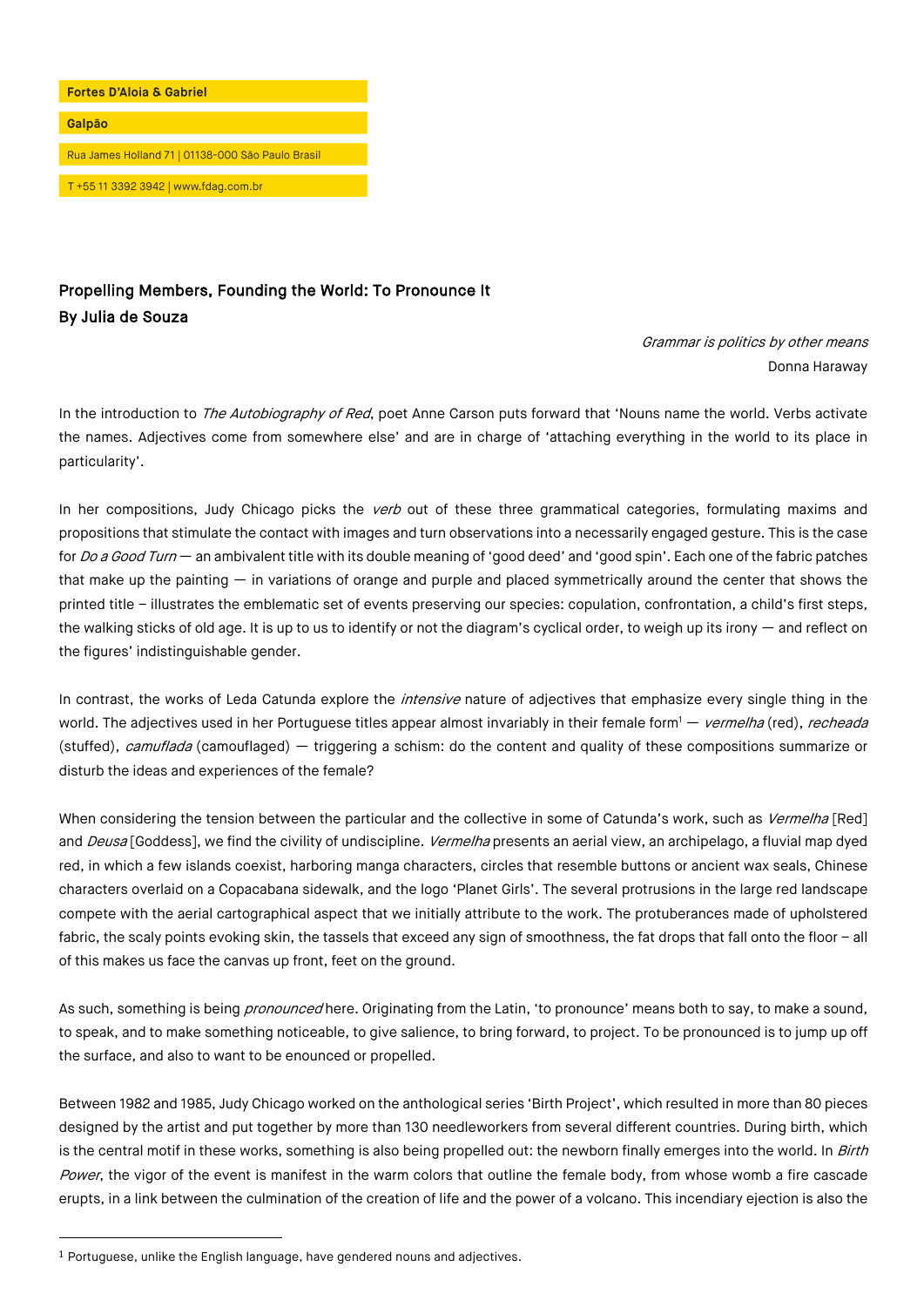

## Propelling Members, Founding the World: To Pronounce It By Julia de Souza

Grammar is politics by other means Donna Haraway

In the introduction to The Autobiography of Red, poet Anne Carson puts forward that 'Nouns name the world. Verbs activate the names. Adjectives come from somewhere else' and are in charge of 'attaching everything in the world to its place in particularity'.

In her compositions, Judy Chicago picks the *verb* out of these three grammatical categories, formulating maxims and propositions that stimulate the contact with images and turn observations into a necessarily engaged gesture. This is the case for Do a Good Turn — an ambivalent title with its double meaning of 'good deed' and 'good spin'. Each one of the fabric patches that make up the painting — in variations of orange and purple and placed symmetrically around the center that shows the printed title – illustrates the emblematic set of events preserving our species: copulation, confrontation, a child's first steps, the walking sticks of old age. It is up to us to identify or not the diagram's cyclical order, to weigh up its irony  $-$  and reflect on the figures' indistinguishable gender.

In contrast, the works of Leda Catunda explore the *intensive* nature of adjectives that emphasize every single thing in the world. The adjectives used in her Portuguese titles appear almost invariably in their female form<sup>1</sup> — vermelha (red), recheada (stuffed), camuflada (camouflaged) — triggering a schism: do the content and quality of these compositions summarize or disturb the ideas and experiences of the female?

When considering the tension between the particular and the collective in some of Catunda's work, such as Vermelha [Red] and Deusa [Goddess], we find the civility of undiscipline. Vermelha presents an aerial view, an archipelago, a fluvial map dyed red, in which a few islands coexist, harboring manga characters, circles that resemble buttons or ancient wax seals, Chinese characters overlaid on a Copacabana sidewalk, and the logo 'Planet Girls'. The several protrusions in the large red landscape compete with the aerial cartographical aspect that we initially attribute to the work. The protuberances made of upholstered fabric, the scaly points evoking skin, the tassels that exceed any sign of smoothness, the fat drops that fall onto the floor - all of this makes us face the canvas up front, feet on the ground.

As such, something is being *pronounced* here. Originating from the Latin, 'to pronounce' means both to say, to make a sound, to speak, and to make something noticeable, to give salience, to bring forward, to project. To be pronounced is to jump up off the surface, and also to want to be enounced or propelled.

Between 1982 and 1985, Judy Chicago worked on the anthological series 'Birth Project', which resulted in more than 80 pieces designed by the artist and put together by more than 130 needleworkers from several different countries. During birth, which is the central motif in these works, something is also being propelled out: the newborn finally emerges into the world. In Birth Power, the vigor of the event is manifest in the warm colors that outline the female body, from whose womb a fire cascade erupts, in a link between the culmination of the creation of life and the power of a volcano. This incendiary ejection is also the

<sup>1</sup> Portuguese, unlike the English language, have gendered nouns and adjectives.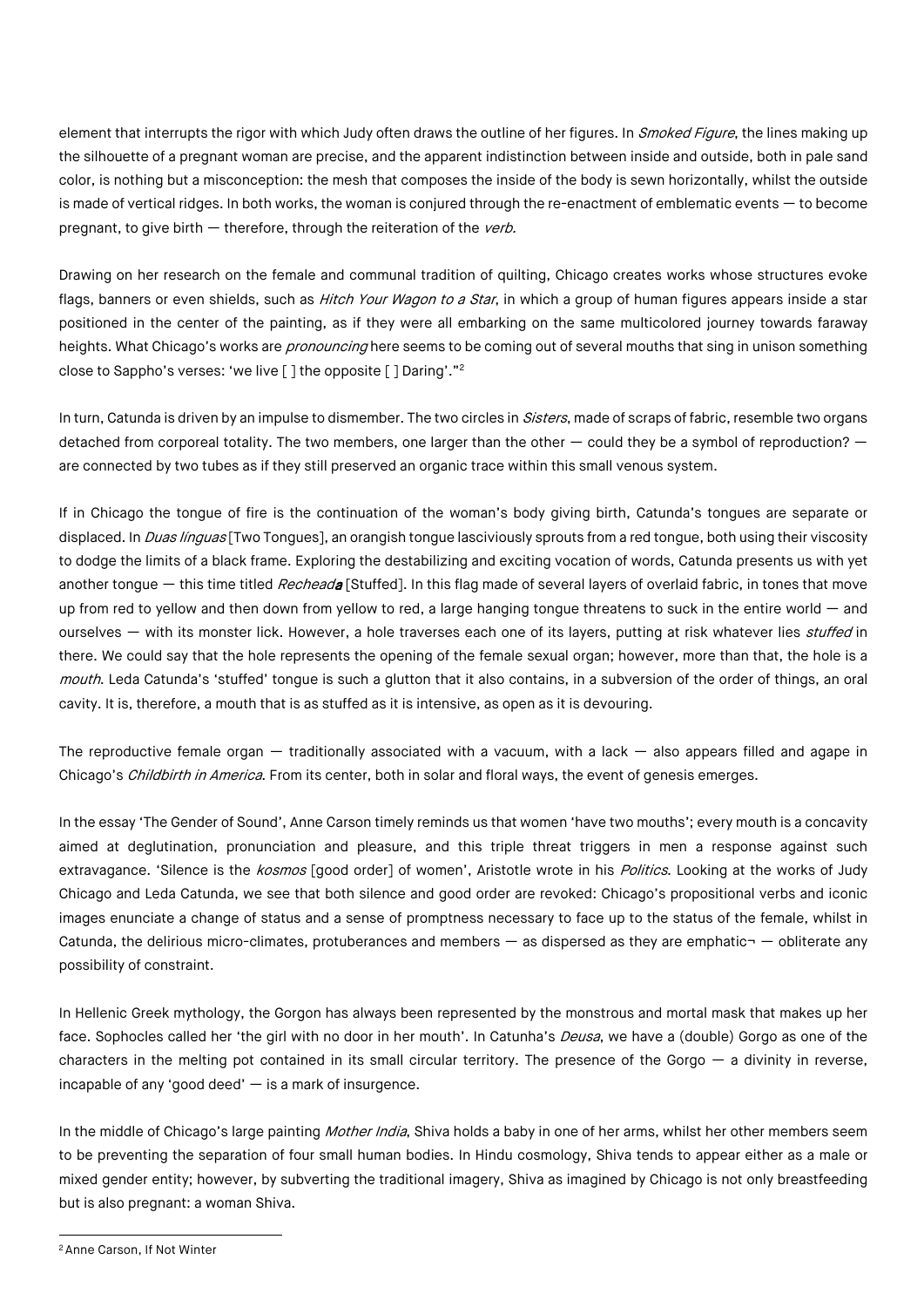element that interrupts the rigor with which Judy often draws the outline of her figures. In Smoked Figure, the lines making up the silhouette of a pregnant woman are precise, and the apparent indistinction between inside and outside, both in pale sand color, is nothing but a misconception: the mesh that composes the inside of the body is sewn horizontally, whilst the outside is made of vertical ridges. In both works, the woman is conjured through the re-enactment of emblematic events — to become pregnant, to give birth  $-$  therefore, through the reiteration of the *verb.* 

Drawing on her research on the female and communal tradition of quilting, Chicago creates works whose structures evoke flags, banners or even shields, such as *Hitch Your Wagon to a Star*, in which a group of human figures appears inside a star positioned in the center of the painting, as if they were all embarking on the same multicolored journey towards faraway heights. What Chicago's works are *pronouncing* here seems to be coming out of several mouths that sing in unison something close to Sappho's verses: 'we live [ ] the opposite [ ] Daring'."2

In turn, Catunda is driven by an impulse to dismember. The two circles in Sisters, made of scraps of fabric, resemble two organs detached from corporeal totality. The two members, one larger than the other  $-$  could they be a symbol of reproduction?  $$ are connected by two tubes as if they still preserved an organic trace within this small venous system.

If in Chicago the tongue of fire is the continuation of the woman's body giving birth, Catunda's tongues are separate or displaced. In *Duas línguas* [Two Tongues], an orangish tongue lasciviously sprouts from a red tongue, both using their viscosity to dodge the limits of a black frame. Exploring the destabilizing and exciting vocation of words, Catunda presents us with yet another tongue — this time titled Recheada [Stuffed]. In this flag made of several layers of overlaid fabric, in tones that move up from red to yellow and then down from yellow to red, a large hanging tongue threatens to suck in the entire world  $-$  and ourselves - with its monster lick. However, a hole traverses each one of its layers, putting at risk whatever lies stuffed in there. We could say that the hole represents the opening of the female sexual organ; however, more than that, the hole is a mouth. Leda Catunda's 'stuffed' tongue is such a glutton that it also contains, in a subversion of the order of things, an oral cavity. It is, therefore, a mouth that is as stuffed as it is intensive, as open as it is devouring.

The reproductive female organ  $-$  traditionally associated with a vacuum, with a lack  $-$  also appears filled and agape in Chicago's *Childbirth in America*. From its center, both in solar and floral ways, the event of genesis emerges.

In the essay 'The Gender of Sound', Anne Carson timely reminds us that women 'have two mouths'; every mouth is a concavity aimed at deglutination, pronunciation and pleasure, and this triple threat triggers in men a response against such extravagance. 'Silence is the kosmos [good order] of women', Aristotle wrote in his Politics. Looking at the works of Judy Chicago and Leda Catunda, we see that both silence and good order are revoked: Chicago's propositional verbs and iconic images enunciate a change of status and a sense of promptness necessary to face up to the status of the female, whilst in Catunda, the delirious micro-climates, protuberances and members  $-$  as dispersed as they are emphatic $\neg$  - obliterate any possibility of constraint.

In Hellenic Greek mythology, the Gorgon has always been represented by the monstrous and mortal mask that makes up her face. Sophocles called her 'the girl with no door in her mouth'. In Catunha's *Deusa*, we have a (double) Gorgo as one of the characters in the melting pot contained in its small circular territory. The presence of the Gorgo  $-$  a divinity in reverse, incapable of any 'good deed'  $-$  is a mark of insurgence.

In the middle of Chicago's large painting *Mother India*, Shiva holds a baby in one of her arms, whilst her other members seem to be preventing the separation of four small human bodies. In Hindu cosmology, Shiva tends to appear either as a male or mixed gender entity; however, by subverting the traditional imagery, Shiva as imagined by Chicago is not only breastfeeding but is also pregnant: a woman Shiva.

<sup>2</sup>Anne Carson, If Not Winter